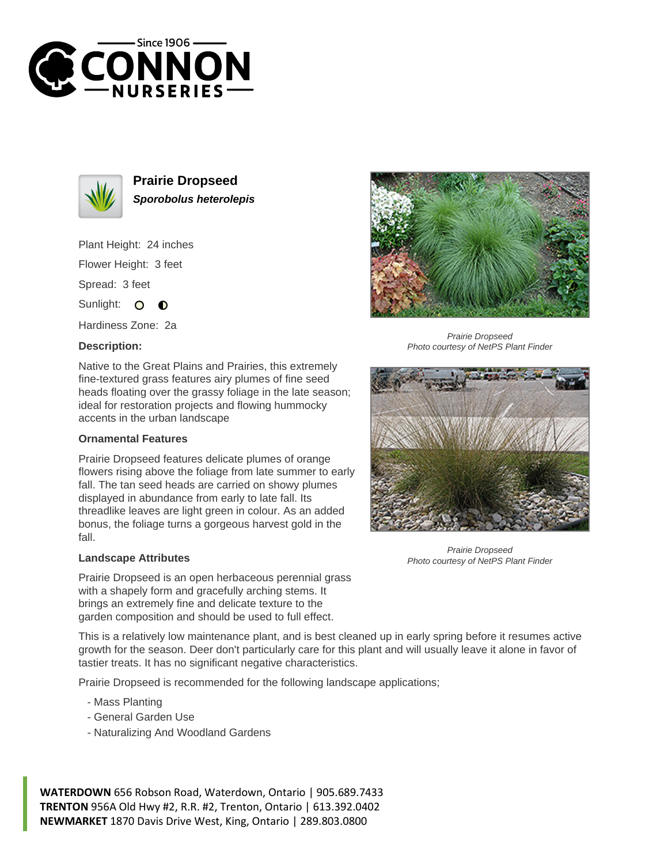



**Prairie Dropseed Sporobolus heterolepis**

Plant Height: 24 inches Flower Height: 3 feet Spread: 3 feet

Sunlight: O  $\bullet$ 

Hardiness Zone: 2a

## **Description:**

Native to the Great Plains and Prairies, this extremely fine-textured grass features airy plumes of fine seed heads floating over the grassy foliage in the late season; ideal for restoration projects and flowing hummocky accents in the urban landscape

## **Ornamental Features**

Prairie Dropseed features delicate plumes of orange flowers rising above the foliage from late summer to early fall. The tan seed heads are carried on showy plumes displayed in abundance from early to late fall. Its threadlike leaves are light green in colour. As an added bonus, the foliage turns a gorgeous harvest gold in the fall.

## **Landscape Attributes**

Prairie Dropseed is an open herbaceous perennial grass with a shapely form and gracefully arching stems. It brings an extremely fine and delicate texture to the garden composition and should be used to full effect.

This is a relatively low maintenance plant, and is best cleaned up in early spring before it resumes active growth for the season. Deer don't particularly care for this plant and will usually leave it alone in favor of tastier treats. It has no significant negative characteristics.

Prairie Dropseed is recommended for the following landscape applications;

- Mass Planting
- General Garden Use
- Naturalizing And Woodland Gardens

**WATERDOWN** 656 Robson Road, Waterdown, Ontario | 905.689.7433 **TRENTON** 956A Old Hwy #2, R.R. #2, Trenton, Ontario | 613.392.0402 **NEWMARKET** 1870 Davis Drive West, King, Ontario | 289.803.0800



Prairie Dropseed Photo courtesy of NetPS Plant Finder



Prairie Dropseed Photo courtesy of NetPS Plant Finder